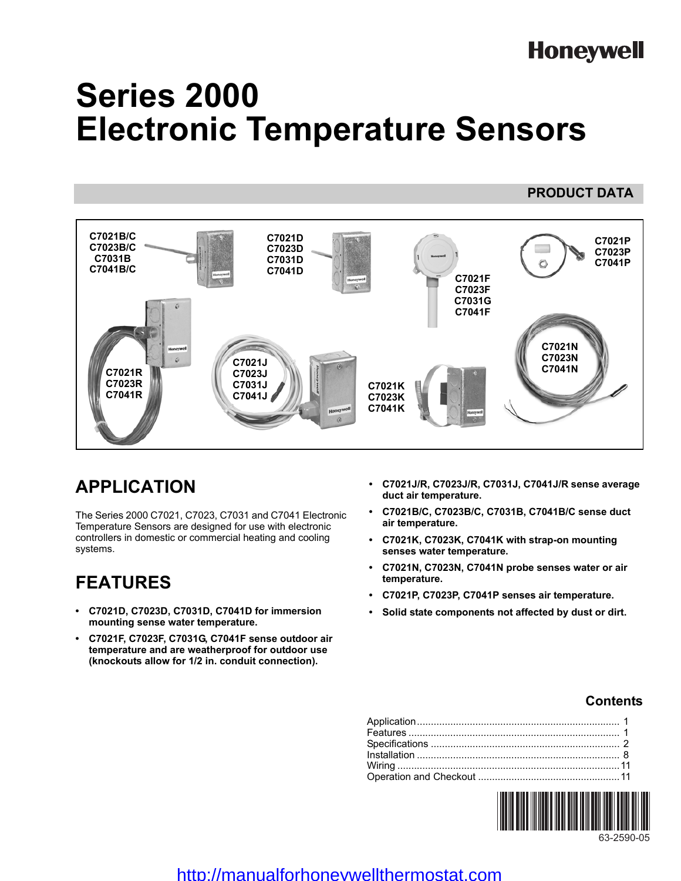# **Honeywell**

**PRODUCT DATA**

# **Series 2000 Electronic Temperature Sensors**

#### **C7021B/C C7021D C7021P C7023B/C C7023D C7023P C7031B C7031D**   $\circ$ **C7041P C7041B/C C7041D C7021F C7023F C7031G C7041F C7021N C7023N C7021J C7041N C7021R C7023J C7023R C7031J C7021K C7041R C7041J C7023K C7041K**

# **APPLICATION**

The Series 2000 C7021, C7023, C7031 and C7041 Electronic Temperature Sensors are designed for use with electronic controllers in domestic or commercial heating and cooling systems.

# **FEATURES**

- **C7021D, C7023D, C7031D, C7041D for immersion mounting sense water temperature.**
- **C7021F, C7023F, C7031G, C7041F sense outdoor air temperature and are weatherproof for outdoor use (knockouts allow for 1/2 in. conduit connection).**
- **C7021J/R, C7023J/R, C7031J, C7041J/R sense average duct air temperature.**
- **C7021B/C, C7023B/C, C7031B, C7041B/C sense duct air temperature.**
- **C7021K, C7023K, C7041K with strap-on mounting senses water temperature.**
- **C7021N, C7023N, C7041N probe senses water or air temperature.**
- **C7021P, C7023P, C7041P senses air temperature.**
- **Solid state components not affected by dust or dirt.**

### **Contents**



### http://manualforhoneywellthermostat.com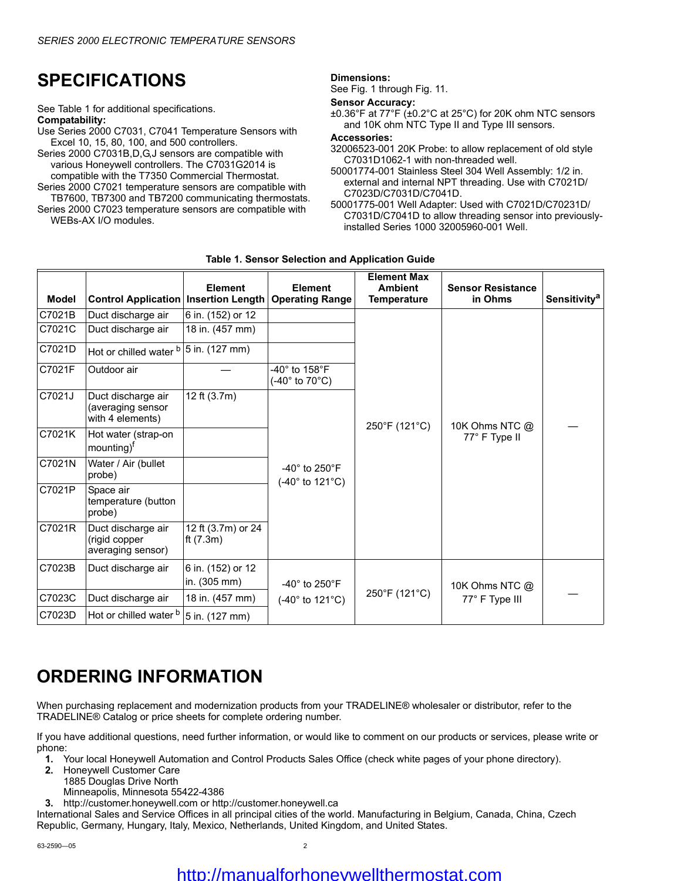# **SPECIFICATIONS**

See [Table 1](#page-1-0) for additional specifications. **Compatability:**

Use Series 2000 C7031, C7041 Temperature Sensors with Excel 10, 15, 80, 100, and 500 controllers.

Series 2000 C7031B,D,G,J sensors are compatible with various Honeywell controllers. The C7031G2014 is compatible with the T7350 Commercial Thermostat.

Series 2000 C7021 temperature sensors are compatible with TB7600, TB7300 and TB7200 communicating thermostats.

Series 2000 C7023 temperature sensors are compatible with WEBs-AX I/O modules.

#### **Dimensions:**

See [Fig. 1](#page-4-0) through [Fig. 11.](#page-8-0)

#### **Sensor Accuracy:**

±0.36°F at 77°F (±0.2°C at 25°C) for 20K ohm NTC sensors and 10K ohm NTC Type II and Type III sensors.

#### **Accessories:**

32006523-001 20K Probe: to allow replacement of old style C7031D1062-1 with non-threaded well.

50001774-001 Stainless Steel 304 Well Assembly: 1/2 in. external and internal NPT threading. Use with C7021D/ C7023D/C7031D/C7041D.

50001775-001 Well Adapter: Used with C7021D/C70231D/ C7031D/C7041D to allow threading sensor into previouslyinstalled Series 1000 32005960-001 Well.

<span id="page-1-0"></span>

|              |                                                             | <b>Element</b>                    | <b>Element</b>                                                            | <b>Element Max</b><br><b>Ambient</b> | <b>Sensor Resistance</b> |                          |
|--------------|-------------------------------------------------------------|-----------------------------------|---------------------------------------------------------------------------|--------------------------------------|--------------------------|--------------------------|
| <b>Model</b> | <b>Control Application Insertion Length</b>                 |                                   | <b>Operating Range</b>                                                    | <b>Temperature</b>                   | in Ohms                  | Sensitivity <sup>a</sup> |
| C7021B       | Duct discharge air                                          | 6 in. (152) or 12                 |                                                                           |                                      |                          |                          |
| C7021C       | Duct discharge air                                          | 18 in. (457 mm)                   |                                                                           |                                      |                          |                          |
| C7021D       | Hot or chilled water b 5 in. (127 mm)                       |                                   |                                                                           |                                      |                          |                          |
| C7021F       | Outdoor air                                                 |                                   | -40° to 158°F<br>$(-40^\circ \text{ to } 70^\circ \text{C})$              |                                      |                          |                          |
| C7021J       | Duct discharge air<br>(averaging sensor<br>with 4 elements) | 12 ft (3.7m)                      |                                                                           | 250°F (121°C)                        | 10K Ohms NTC @           |                          |
| C7021K       | Hot water (strap-on<br>mounting) <sup>f</sup>               |                                   |                                                                           |                                      | 77° F Type II            |                          |
| C7021N       | Water / Air (bullet<br>probe)                               |                                   | -40 $^{\circ}$ to 250 $^{\circ}$ F<br>$(-40^{\circ}$ to 121 $^{\circ}$ C) |                                      |                          |                          |
| C7021P       | Space air<br>temperature (button<br>probe)                  |                                   |                                                                           |                                      |                          |                          |
| C7021R       | Duct discharge air<br>(rigid copper<br>averaging sensor)    | 12 ft (3.7m) or 24<br>ft $(7.3m)$ |                                                                           |                                      |                          |                          |
| C7023B       | Duct discharge air                                          | 6 in. (152) or 12<br>in. (305 mm) | -40 $^{\circ}$ to 250 $^{\circ}$ F                                        |                                      | 10K Ohms NTC @           |                          |
| C7023C       | Duct discharge air                                          | 18 in. (457 mm)                   | $(-40^{\circ}$ to 121 $^{\circ}$ C)                                       | 250°F (121°C)                        | 77° F Type III           |                          |
| C7023D       | Hot or chilled water <sup>b</sup>                           | 5 in. (127 mm)                    |                                                                           |                                      |                          |                          |

#### **Table 1. Sensor Selection and Application Guide**

# **ORDERING INFORMATION**

When purchasing replacement and modernization products from your TRADELINE® wholesaler or distributor, refer to the TRADELINE® Catalog or price sheets for complete ordering number.

If you have additional questions, need further information, or would like to comment on our products or services, please write or phone:

- **1.** Your local Honeywell Automation and Control Products Sales Office (check white pages of your phone directory).
- **2.** Honeywell Customer Care
- 1885 Douglas Drive North
- Minneapolis, Minnesota 55422-4386

**3.** http://customer.honeywell.com or http://customer.honeywell.ca

International Sales and Service Offices in all principal cities of the world. Manufacturing in Belgium, Canada, China, Czech Republic, Germany, Hungary, Italy, Mexico, Netherlands, United Kingdom, and United States.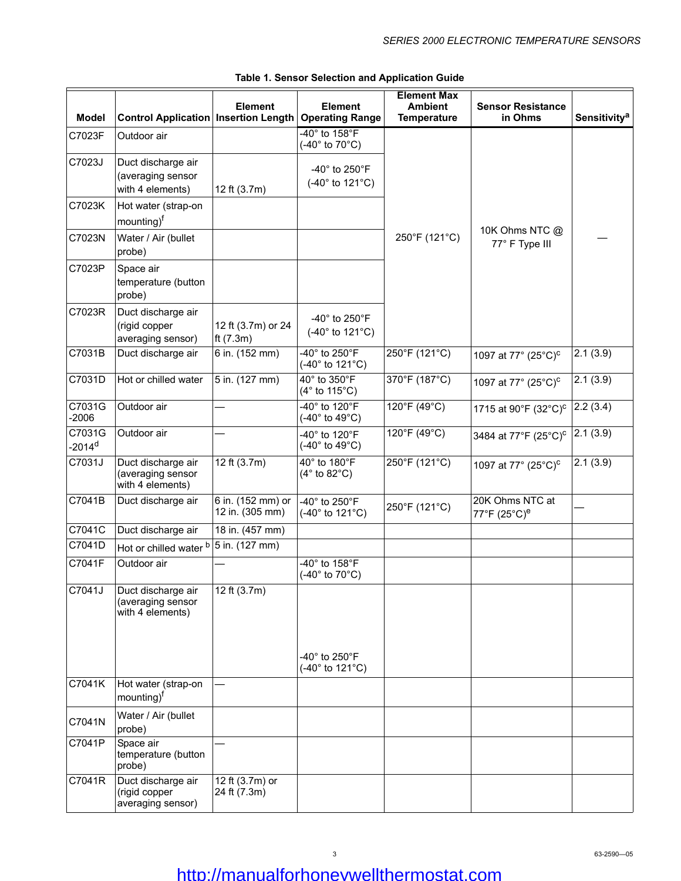| <b>Model</b>                   | <b>Control Application Insertion Length</b>                 | <b>Element</b>                       | <b>Element</b><br><b>Operating Range</b>                                     | <b>Element Max</b><br><b>Ambient</b><br><b>Temperature</b> | <b>Sensor Resistance</b><br>in Ohms         | <b>Sensitivity<sup>a</sup></b> |
|--------------------------------|-------------------------------------------------------------|--------------------------------------|------------------------------------------------------------------------------|------------------------------------------------------------|---------------------------------------------|--------------------------------|
| C7023F                         | Outdoor air                                                 |                                      | $-40^\circ$ to 158 $^\circ$ F<br>$(-40^\circ \text{ to } 70^\circ \text{C})$ |                                                            |                                             |                                |
| C7023J                         | Duct discharge air<br>(averaging sensor<br>with 4 elements) | 12 ft (3.7m)                         | -40° to 250°F<br>$(-40° to 121°C)$                                           |                                                            |                                             |                                |
| C7023K                         | Hot water (strap-on<br>mounting) <sup>f</sup>               |                                      |                                                                              |                                                            |                                             |                                |
| C7023N                         | Water / Air (bullet<br>probe)                               |                                      |                                                                              | 250°F (121°C)                                              | 10K Ohms NTC @<br>77° F Type III            |                                |
| C7023P                         | Space air<br>temperature (button<br>probe)                  |                                      |                                                                              |                                                            |                                             |                                |
| C7023R                         | Duct discharge air<br>(rigid copper<br>averaging sensor)    | 12 ft (3.7m) or 24<br>ft $(7.3m)$    | -40 $^{\circ}$ to 250 $^{\circ}$ F<br>$(-40° to 121°C)$                      |                                                            |                                             |                                |
| C7031B                         | Duct discharge air                                          | 6 in. (152 mm)                       | -40° to 250°F<br>$(-40^{\circ}$ to 121 $^{\circ}$ C)                         | 250°F (121°C)                                              | 1097 at 77° (25°C) <sup>c</sup>             | 2.1(3.9)                       |
| C7031D                         | Hot or chilled water                                        | 5 in. (127 mm)                       | 40° to 350°F<br>(4° to 115°C)                                                | 370°F (187°C)                                              | 1097 at 77° (25°C) <sup>c</sup>             | 2.1(3.9)                       |
| C7031G<br>$-2006$              | Outdoor air                                                 | $\overline{\phantom{0}}$             | 40° to 120°F<br>(-40 $^{\circ}$ to 49 $^{\circ}$ C)                          | 120°F (49°C)                                               | 1715 at 90°F (32°C) <sup>c</sup>            | 2.2(3.4)                       |
| C7031G<br>$-2014$ <sup>d</sup> | Outdoor air                                                 |                                      | -40° to 120°F<br>(-40 $^{\circ}$ to 49 $^{\circ}$ C)                         | 120°F (49°C)                                               | 3484 at 77°F (25°C) <sup>c</sup>            | 2.1(3.9)                       |
| C7031J                         | Duct discharge air<br>(averaging sensor<br>with 4 elements) | $\sqrt{12}$ ft (3.7m)                | 40° to 180°F<br>$(4°$ to 82 $°C)$                                            | 250°F (121°C)                                              | 1097 at 77° (25°C) <sup>c</sup>             | 2.1(3.9)                       |
| C7041B                         | Duct discharge air                                          | 6 in. (152 mm) or<br>12 in. (305 mm) | -40° to 250°F<br>$(-40^{\circ}$ to 121 $^{\circ}$ C)                         | 250°F (121°C)                                              | 20K Ohms NTC at<br>77°F (25°C) <sup>e</sup> |                                |
| C7041C                         | Duct discharge air                                          | 18 in. (457 mm)                      |                                                                              |                                                            |                                             |                                |
| C7041D                         | Hot or chilled water b                                      | 5 in. (127 mm)                       |                                                                              |                                                            |                                             |                                |
| C7041F                         | Outdoor air                                                 |                                      | 40° to 158°F<br>$(-40^\circ \text{ to } 70^\circ \text{C})$                  |                                                            |                                             |                                |
| C7041J                         | Duct discharge air<br>(averaging sensor<br>with 4 elements) | 12 ft (3.7m)                         |                                                                              |                                                            |                                             |                                |
|                                |                                                             |                                      | -40 $^{\circ}$ to 250 $^{\circ}$ F<br>$(-40^{\circ}$ to 121 $^{\circ}$ C)    |                                                            |                                             |                                |
| C7041K                         | Hot water (strap-on<br>mounting) <sup>f</sup>               |                                      |                                                                              |                                                            |                                             |                                |
| C7041N                         | Water / Air (bullet<br>probe)                               |                                      |                                                                              |                                                            |                                             |                                |
| C7041P                         | Space air<br>temperature (button<br>probe)                  |                                      |                                                                              |                                                            |                                             |                                |
| C7041R                         | Duct discharge air<br>(rigid copper<br>averaging sensor)    | 12 ft (3.7m) or<br>24 ft (7.3m)      |                                                                              |                                                            |                                             |                                |

#### **Table 1. Sensor Selection and Application Guide**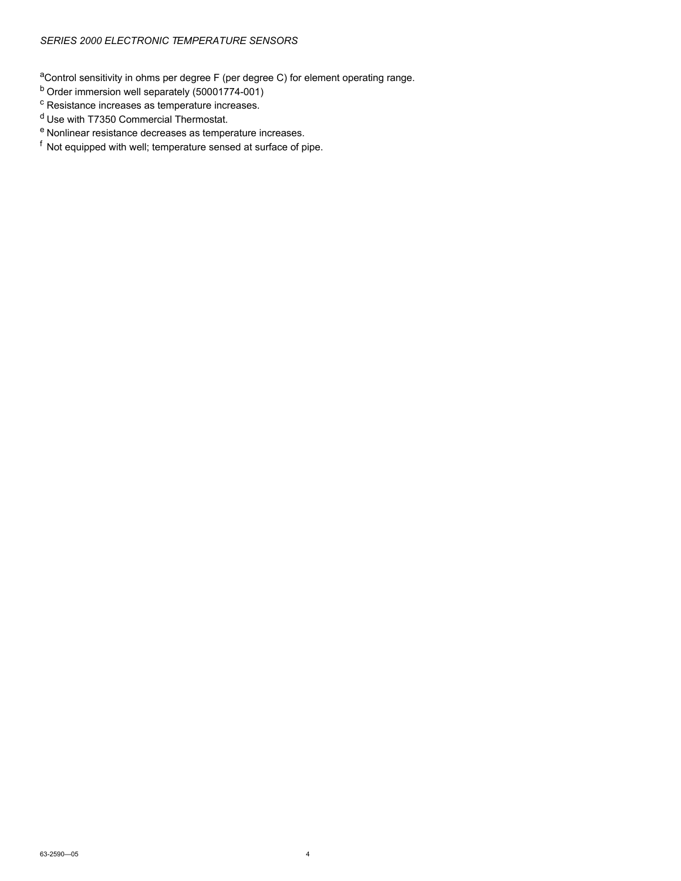aControl sensitivity in ohms per degree F (per degree C) for element operating range.

- <sup>b</sup> Order immersion well separately (50001774-001)
- <sup>c</sup> Resistance increases as temperature increases.
- <sup>d</sup> Use with T7350 Commercial Thermostat.
- <sup>e</sup> Nonlinear resistance decreases as temperature increases.
- <sup>f</sup> Not equipped with well; temperature sensed at surface of pipe.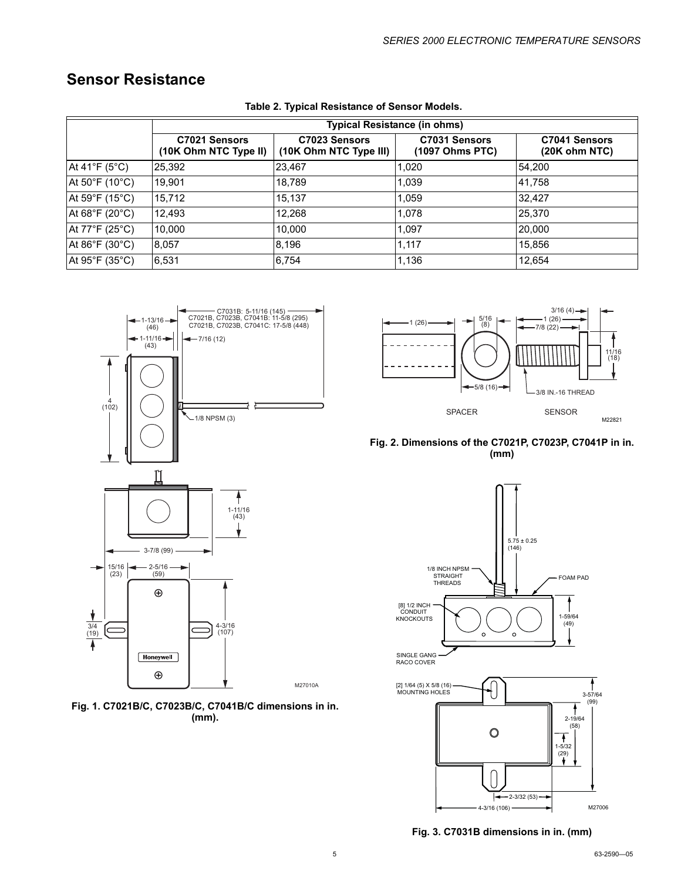### **Sensor Resistance**

|                                   | <b>Typical Resistance (in ohms)</b>    |                                         |                                  |                                |
|-----------------------------------|----------------------------------------|-----------------------------------------|----------------------------------|--------------------------------|
|                                   | C7021 Sensors<br>(10K Ohm NTC Type II) | C7023 Sensors<br>(10K Ohm NTC Type III) | C7031 Sensors<br>(1097 Ohms PTC) | C7041 Sensors<br>(20K ohm NTC) |
| At 41 $\degree$ F (5 $\degree$ C) | 25,392                                 | 23,467                                  | 1,020                            | 54,200                         |
| At 50°F (10°C)                    | 19,901                                 | 18,789                                  | 1,039                            | 41.758                         |
| At 59°F (15°C)                    | 15,712                                 | 15,137                                  | 1,059                            | 32,427                         |
| At 68°F (20°C)                    | 12,493                                 | 12,268                                  | 1,078                            | 25,370                         |
| At $77^{\circ}$ F (25°C)          | 10,000                                 | 10,000                                  | 1,097                            | 20,000                         |
| At 86°F (30°C)                    | 8,057                                  | 8,196                                   | 1.117                            | 15,856                         |
| At 95°F (35°C)                    | 6,531                                  | 6,754                                   | 1,136                            | 12,654                         |

#### **Table 2. Typical Resistance of Sensor Models.**



<span id="page-4-0"></span>







**Fig. 3. C7031B dimensions in in. (mm)**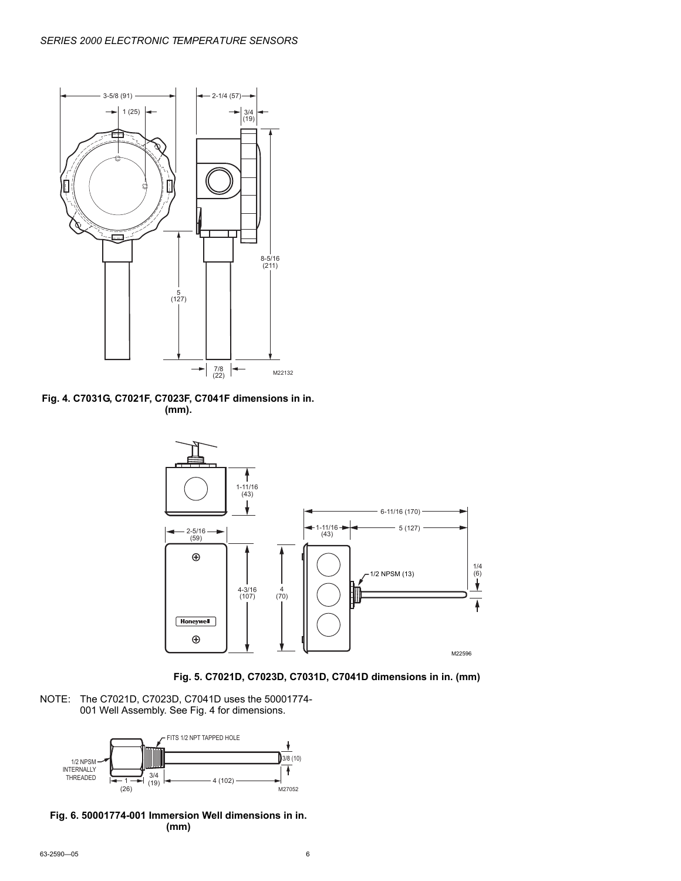

**Fig. 4. C7031G, C7021F, C7023F, C7041F dimensions in in. (mm).**



**Fig. 5. C7021D, C7023D, C7031D, C7041D dimensions in in. (mm)**

NOTE: The C7021D, C7023D, C7041D uses the 50001774- 001 Well Assembly. See Fig. 4 for dimensions.



**Fig. 6. 50001774-001 Immersion Well dimensions in in. (mm)**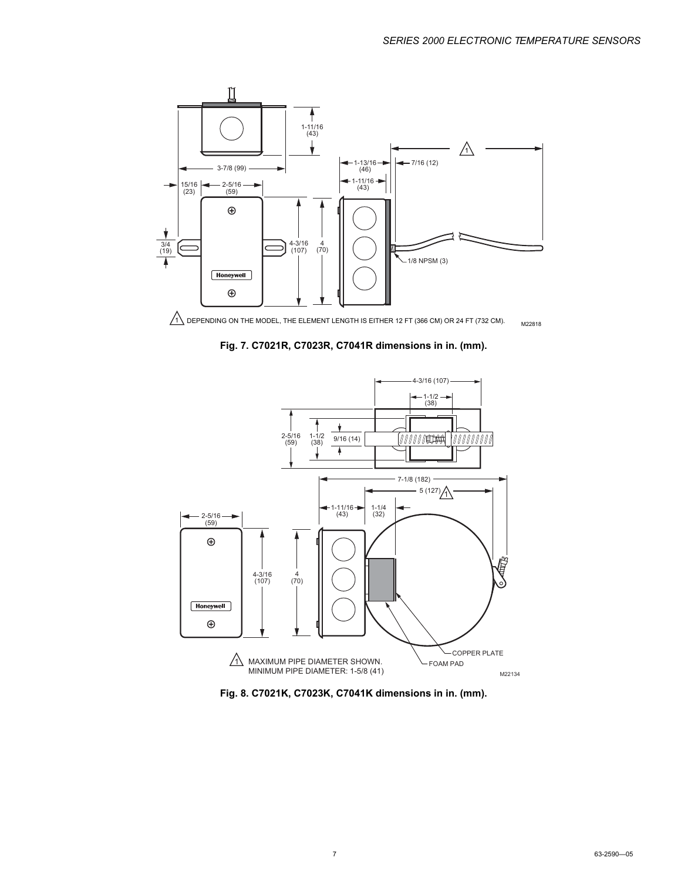

M22818  $1\sqrt{\text{DEPENDING ON THE MODEL.}$  THE ELEMENT LENGTH IS EITHER 12 FT (366 CM) OR 24 FT (732 CM).

**Fig. 7. C7021R, C7023R, C7041R dimensions in in. (mm).**



**Fig. 8. C7021K, C7023K, C7041K dimensions in in. (mm).**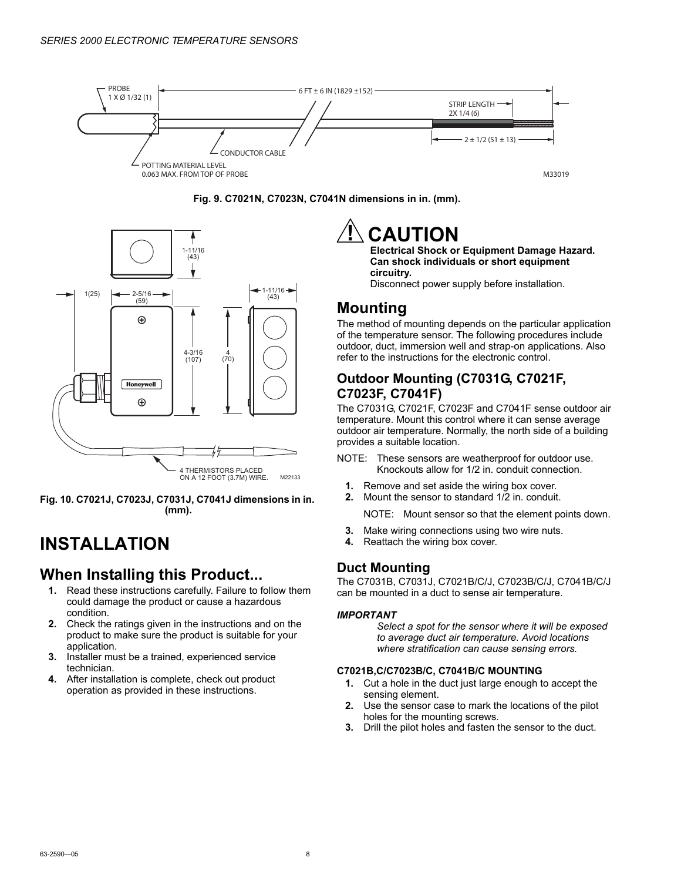





**Fig. 10. C7021J, C7023J, C7031J, C7041J dimensions in in. (mm).**

# **INSTALLATION**

### **When Installing this Product...**

- **1.** Read these instructions carefully. Failure to follow them could damage the product or cause a hazardous condition.
- **2.** Check the ratings given in the instructions and on the product to make sure the product is suitable for your application.
- **3.** Installer must be a trained, experienced service technician.
- **4.** After installation is complete, check out product operation as provided in these instructions.

# **CAUTION**

**Electrical Shock or Equipment Damage Hazard. Can shock individuals or short equipment circuitry.**

Disconnect power supply before installation.

## **Mounting**

The method of mounting depends on the particular application of the temperature sensor. The following procedures include outdoor, duct, immersion well and strap-on applications. Also refer to the instructions for the electronic control.

### **Outdoor Mounting (C7031G, C7021F, C7023F, C7041F)**

The C7031G, C7021F, C7023F and C7041F sense outdoor air temperature. Mount this control where it can sense average outdoor air temperature. Normally, the north side of a building provides a suitable location.

- NOTE: These sensors are weatherproof for outdoor use. Knockouts allow for 1/2 in. conduit connection.
	- **1.** Remove and set aside the wiring box cover.
	- **2.** Mount the sensor to standard 1/2 in. conduit.
	- NOTE: Mount sensor so that the element points down.
- **3.** Make wiring connections using two wire nuts.
- **4.** Reattach the wiring box cover.

### **Duct Mounting**

The C7031B, C7031J, C7021B/C/J, C7023B/C/J, C7041B/C/J can be mounted in a duct to sense air temperature.

#### *IMPORTANT*

*Select a spot for the sensor where it will be exposed to average duct air temperature. Avoid locations where stratification can cause sensing errors.*

#### **C7021B,C/C7023B/C, C7041B/C MOUNTING**

- **1.** Cut a hole in the duct just large enough to accept the sensing element.
- **2.** Use the sensor case to mark the locations of the pilot holes for the mounting screws.
- **3.** Drill the pilot holes and fasten the sensor to the duct.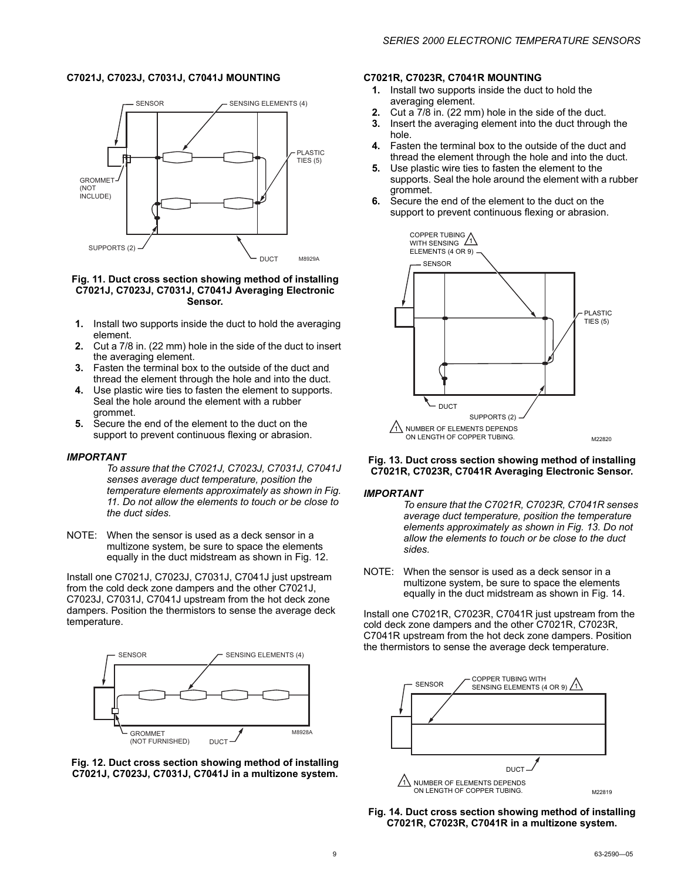#### **C7021J, C7023J, C7031J, C7041J MOUNTING**



#### <span id="page-8-0"></span>**Fig. 11. Duct cross section showing method of installing C7021J, C7023J, C7031J, C7041J Averaging Electronic Sensor.**

- **1.** Install two supports inside the duct to hold the averaging element.
- **2.** Cut a 7/8 in. (22 mm) hole in the side of the duct to insert the averaging element.
- **3.** Fasten the terminal box to the outside of the duct and thread the element through the hole and into the duct.
- **4.** Use plastic wire ties to fasten the element to supports. Seal the hole around the element with a rubber grommet.
- **5.** Secure the end of the element to the duct on the support to prevent continuous flexing or abrasion.

#### *IMPORTANT*

*To assure that the C7021J, C7023J, C7031J, C7041J senses average duct temperature, position the temperature elements approximately as shown in [Fig.](#page-8-0)  [11](#page-8-0). Do not allow the elements to touch or be close to the duct sides.*

NOTE: When the sensor is used as a deck sensor in a multizone system, be sure to space the elements equally in the duct midstream as shown in [Fig. 12.](#page-8-1)

Install one C7021J, C7023J, C7031J, C7041J just upstream from the cold deck zone dampers and the other C7021J, C7023J, C7031J, C7041J upstream from the hot deck zone dampers. Position the thermistors to sense the average deck temperature.



<span id="page-8-1"></span>**Fig. 12. Duct cross section showing method of installing C7021J, C7023J, C7031J, C7041J in a multizone system.**

#### **C7021R, C7023R, C7041R MOUNTING**

- **1.** Install two supports inside the duct to hold the averaging element.
- **2.** Cut a 7/8 in. (22 mm) hole in the side of the duct.
- **3.** Insert the averaging element into the duct through the hole.
- **4.** Fasten the terminal box to the outside of the duct and thread the element through the hole and into the duct.
- **5.** Use plastic wire ties to fasten the element to the supports. Seal the hole around the element with a rubber grommet.
- **6.** Secure the end of the element to the duct on the support to prevent continuous flexing or abrasion.



#### <span id="page-8-2"></span>**Fig. 13. Duct cross section showing method of installing C7021R, C7023R, C7041R Averaging Electronic Sensor.**

#### *IMPORTANT*

*To ensure that the C7021R, C7023R, C7041R senses average duct temperature, position the temperature elements approximately as shown in [Fig. 13.](#page-8-2) Do not allow the elements to touch or be close to the duct sides.*

NOTE: When the sensor is used as a deck sensor in a multizone system, be sure to space the elements equally in the duct midstream as shown in [Fig. 14.](#page-8-3)

Install one C7021R, C7023R, C7041R just upstream from the cold deck zone dampers and the other C7021R, C7023R, C7041R upstream from the hot deck zone dampers. Position the thermistors to sense the average deck temperature.



<span id="page-8-3"></span>**Fig. 14. Duct cross section showing method of installing C7021R, C7023R, C7041R in a multizone system.**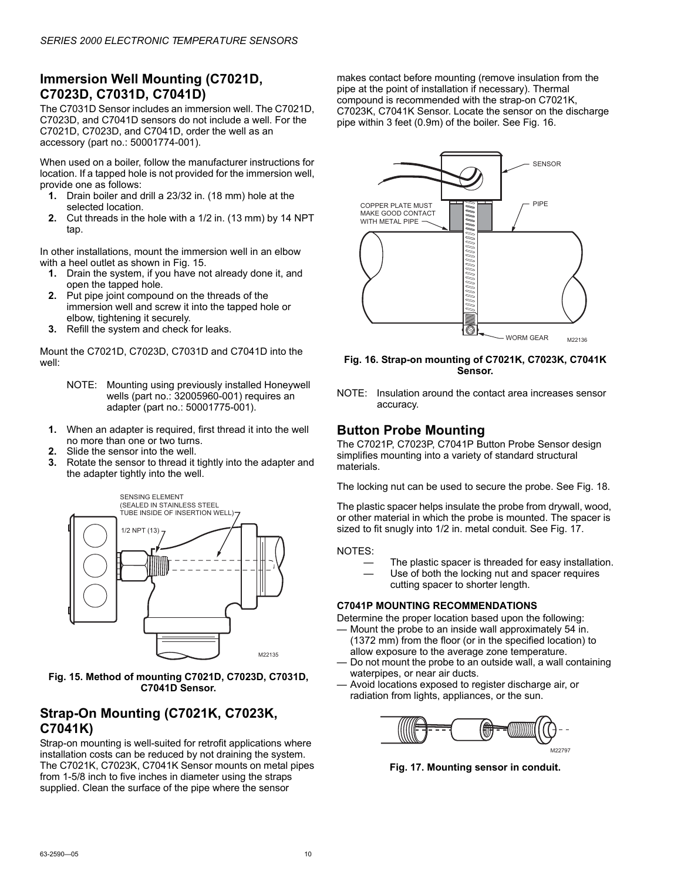### **Immersion Well Mounting (C7021D, C7023D, C7031D, C7041D)**

The C7031D Sensor includes an immersion well. The C7021D, C7023D, and C7041D sensors do not include a well. For the C7021D, C7023D, and C7041D, order the well as an accessory (part no.: 50001774-001).

When used on a boiler, follow the manufacturer instructions for location. If a tapped hole is not provided for the immersion well, provide one as follows:

- **1.** Drain boiler and drill a 23/32 in. (18 mm) hole at the selected location.
- **2.** Cut threads in the hole with a 1/2 in. (13 mm) by 14 NPT tap.

In other installations, mount the immersion well in an elbow with a heel outlet as shown in [Fig. 15](#page-9-0).

- **1.** Drain the system, if you have not already done it, and open the tapped hole.
- **2.** Put pipe joint compound on the threads of the immersion well and screw it into the tapped hole or elbow, tightening it securely.
- **3.** Refill the system and check for leaks.

Mount the C7021D, C7023D, C7031D and C7041D into the well:

- NOTE: Mounting using previously installed Honeywell wells (part no.: 32005960-001) requires an adapter (part no.: 50001775-001).
- **1.** When an adapter is required, first thread it into the well no more than one or two turns.
- **2.** Slide the sensor into the well.
- **3.** Rotate the sensor to thread it tightly into the adapter and the adapter tightly into the well.



<span id="page-9-0"></span>**Fig. 15. Method of mounting C7021D, C7023D, C7031D, C7041D Sensor.**

### **Strap-On Mounting (C7021K, C7023K, C7041K)**

Strap-on mounting is well-suited for retrofit applications where installation costs can be reduced by not draining the system. The C7021K, C7023K, C7041K Sensor mounts on metal pipes from 1-5/8 inch to five inches in diameter using the straps supplied. Clean the surface of the pipe where the sensor

makes contact before mounting (remove insulation from the pipe at the point of installation if necessary). Thermal compound is recommended with the strap-on C7021K, C7023K, C7041K Sensor. Locate the sensor on the discharge pipe within 3 feet (0.9m) of the boiler. See [Fig. 16.](#page-9-1)



<span id="page-9-1"></span>**Fig. 16. Strap-on mounting of C7021K, C7023K, C7041K Sensor.**

NOTE: Insulation around the contact area increases sensor accuracy.

### **Button Probe Mounting**

The C7021P, C7023P, C7041P Button Probe Sensor design simplifies mounting into a variety of standard structural materials.

The locking nut can be used to secure the probe. See Fig. 18.

The plastic spacer helps insulate the probe from drywall, wood, or other material in which the probe is mounted. The spacer is sized to fit snugly into 1/2 in. metal conduit. See Fig. 17.

NOTES:

- The plastic spacer is threaded for easy installation.
- Use of both the locking nut and spacer requires cutting spacer to shorter length.

#### **C7041P MOUNTING RECOMMENDATIONS**

Determine the proper location based upon the following:

— Mount the probe to an inside wall approximately 54 in.

- (1372 mm) from the floor (or in the specified location) to allow exposure to the average zone temperature.
- Do not mount the probe to an outside wall, a wall containing waterpipes, or near air ducts.
- Avoid locations exposed to register discharge air, or radiation from lights, appliances, or the sun.



**Fig. 17. Mounting sensor in conduit.**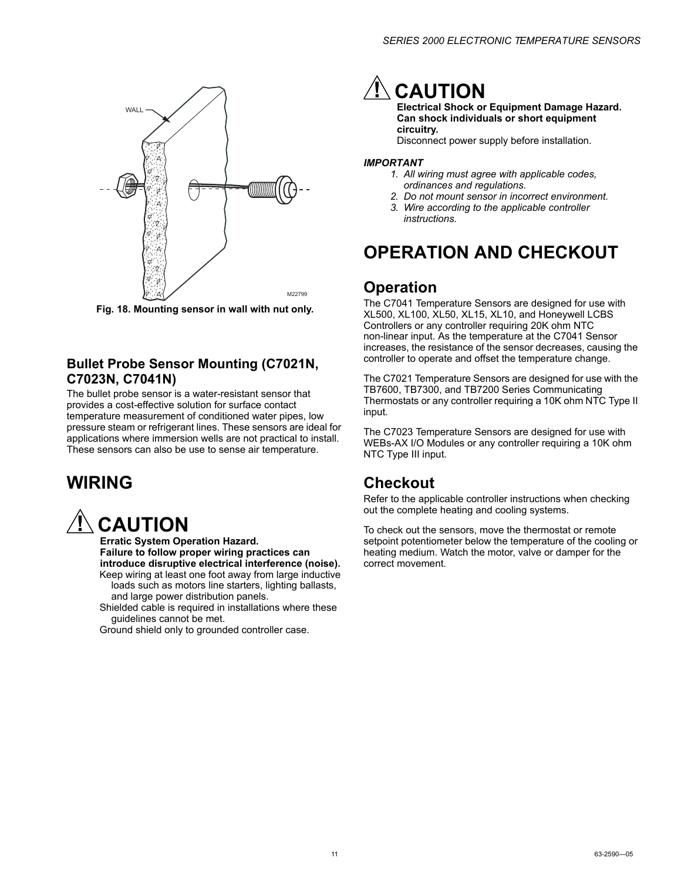

**Fig. 18. Mounting sensor in wall with nut only.**

### **Bullet Probe Sensor Mounting (C7021N, C7023N, C7041N)**

The bullet probe sensor is a water-resistant sensor that provides a cost-effective solution for surface contact temperature measurement of conditioned water pipes, low pressure steam or refrigerant lines. These sensors are ideal for applications where immersion wells are not practical to install. These sensors can also be use to sense air temperature.

# **WIRING**

# **CAUTION**

**Erratic System Operation Hazard. Failure to follow proper wiring practices can introduce disruptive electrical interference (noise).** Keep wiring at least one foot away from large inductive

- loads such as motors line starters, lighting ballasts, and large power distribution panels.
- Shielded cable is required in installations where these guidelines cannot be met.

Ground shield only to grounded controller case.

# **CAUTION**

**Electrical Shock or Equipment Damage Hazard. Can shock individuals or short equipment circuitry.**

Disconnect power supply before installation.

#### *IMPORTANT*

- *1. All wiring must agree with applicable codes, ordinances and regulations.*
- *2. Do not mount sensor in incorrect environment.*
- *3. Wire according to the applicable controller instructions.*

# **OPERATION AND CHECKOUT**

### **Operation**

The C7041 Temperature Sensors are designed for use with XL500, XL100, XL50, XL15, XL10, and Honeywell LCBS Controllers or any controller requiring 20K ohm NTC non-linear input. As the temperature at the C7041 Sensor increases, the resistance of the sensor decreases, causing the controller to operate and offset the temperature change.

The C7021 Temperature Sensors are designed for use with the TB7600, TB7300, and TB7200 Series Communicating Thermostats or any controller requiring a 10K ohm NTC Type II input.

The C7023 Temperature Sensors are designed for use with WEBs-AX I/O Modules or any controller requiring a 10K ohm NTC Type III input.

## **Checkout**

Refer to the applicable controller instructions when checking out the complete heating and cooling systems.

To check out the sensors, move the thermostat or remote setpoint potentiometer below the temperature of the cooling or heating medium. Watch the motor, valve or damper for the correct movement.